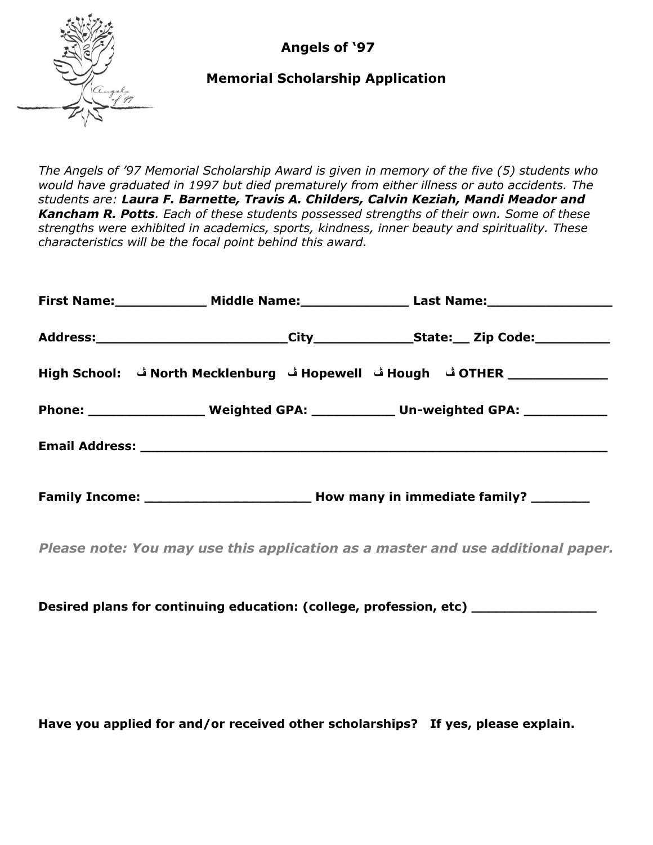**Angels of '97**



## **Memorial Scholarship Application**

*The Angels of '97 Memorial Scholarship Award is given in memory of the five (5) students who would have graduated in 1997 but died prematurely from either illness or auto accidents. The students are: Laura F. Barnette, Travis A. Childers, Calvin Keziah, Mandi Meador and Kancham R. Potts. Each of these students possessed strengths of their own. Some of these strengths were exhibited in academics, sports, kindness, inner beauty and spirituality. These characteristics will be the focal point behind this award.*

|  | First Name: _______________ Middle Name: ____________________ Last Name: ___________________________ |
|--|------------------------------------------------------------------------------------------------------|
|  |                                                                                                      |
|  |                                                                                                      |
|  | Phone: _________________________ Weighted GPA: _______________ Un-weighted GPA: ______________       |
|  |                                                                                                      |
|  |                                                                                                      |

*Please note: You may use this application as a master and use additional paper.*

**Desired plans for continuing education: (college, profession, etc) \_\_\_\_\_\_\_\_\_\_\_\_\_\_\_**

**Have you applied for and/or received other scholarships? If yes, please explain.**